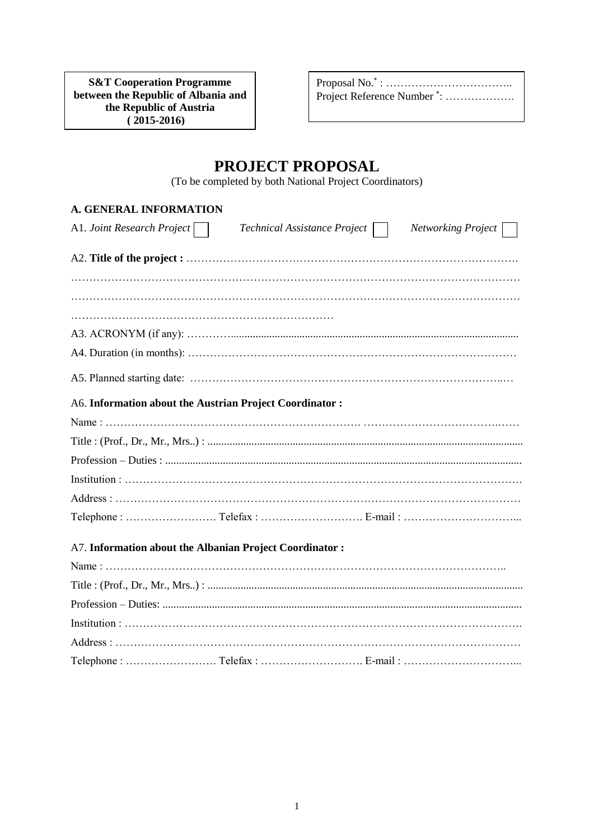**between the Republic of Albania and**  $\overline{a}$ **S&T Cooperation Programme the Republic of Austria ( 2015-2016)**

**(2010– 2011)**

Proposal No.<sup>\*</sup> : ………………………………… Project Reference Number<sup>\*</sup>: ...................

# **PROJECT PROPOSAL**

(To be completed by both National Project Coordinators)

### **A. GENERAL INFORMATION**

| A1. Joint Research Project                              | Technical Assistance Project | Networking Project |
|---------------------------------------------------------|------------------------------|--------------------|
|                                                         |                              |                    |
|                                                         |                              |                    |
|                                                         |                              |                    |
|                                                         |                              |                    |
|                                                         |                              |                    |
|                                                         |                              |                    |
| A6. Information about the Austrian Project Coordinator: |                              |                    |
|                                                         |                              |                    |
|                                                         |                              |                    |
|                                                         |                              |                    |
|                                                         |                              |                    |
|                                                         |                              |                    |
|                                                         |                              |                    |
| A7. Information about the Albanian Project Coordinator: |                              |                    |
|                                                         |                              |                    |
|                                                         |                              |                    |
|                                                         |                              |                    |
|                                                         |                              |                    |
|                                                         |                              |                    |

Telephone : ……………………. Telefax : ………………………. E-mail : …………………………...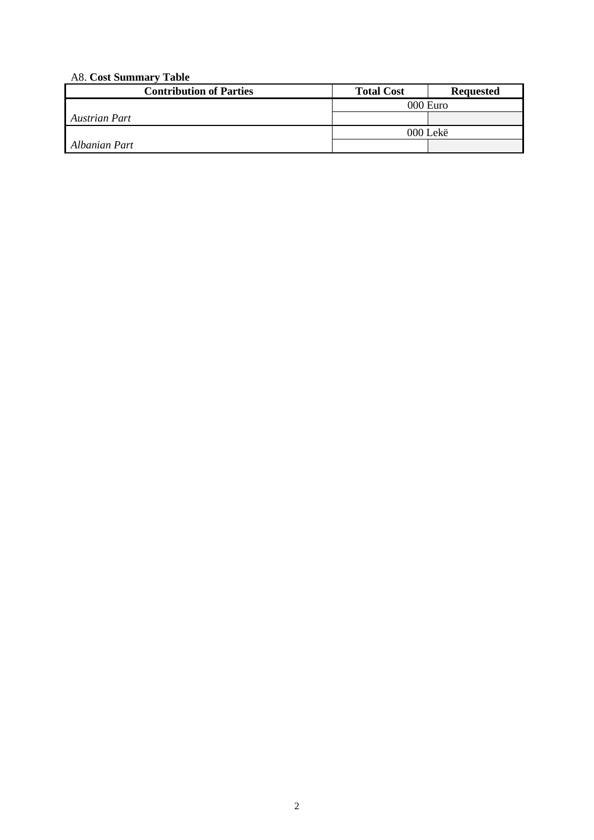# A8. **Cost Summary Table**

| <b>Contribution of Parties</b> | <b>Total Cost</b> | <b>Requested</b> |
|--------------------------------|-------------------|------------------|
|                                |                   | 000 Euro         |
| Austrian Part                  |                   |                  |
|                                |                   | 000 Lekë         |
| Albanian Part                  |                   |                  |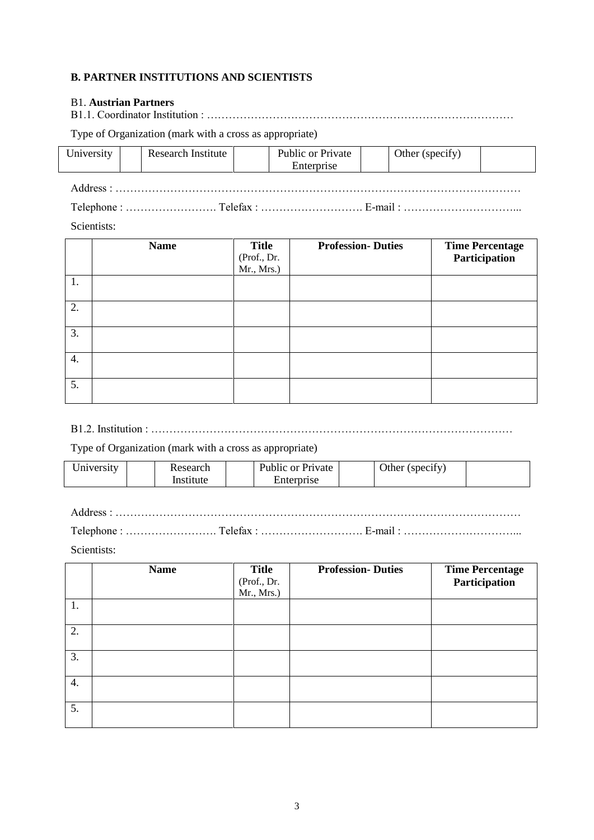#### **B. PARTNER INSTITUTIONS AND SCIENTISTS**

### B1. **Austrian Partners**

B1.1. Coordinator Institution : …………………………………………………………………………

Type of Organization (mark with a cross as appropriate)

| University | Research Institute | Public or Private<br>Enterprise | Other (specify) |  |  |  |  |  |  |
|------------|--------------------|---------------------------------|-----------------|--|--|--|--|--|--|
|            |                    |                                 |                 |  |  |  |  |  |  |
|            |                    |                                 |                 |  |  |  |  |  |  |

Scientists:

|    | <b>Name</b> | <b>Title</b><br>(Prof., Dr.<br>Mr., Mrs.) | <b>Profession-Duties</b> | <b>Time Percentage</b><br>Participation |
|----|-------------|-------------------------------------------|--------------------------|-----------------------------------------|
| 1. |             |                                           |                          |                                         |
| 2. |             |                                           |                          |                                         |
| 3. |             |                                           |                          |                                         |
| 4. |             |                                           |                          |                                         |
| 5. |             |                                           |                          |                                         |

B1.2. Institution : ………………………………………………………………………………………

Type of Organization (mark with a cross as appropriate)

| Jniversity | Research  | Public or Private |  | Other (specify) |  |
|------------|-----------|-------------------|--|-----------------|--|
|            | Institute | Enterprise        |  |                 |  |

Address : …………………………………………………………………………………………………

Telephone : ……………………. Telefax : ………………………. E-mail : …………………………...

Scientists:

|                  | <b>Name</b> | <b>Title</b><br>(Prof., Dr.<br>Mr., Mrs.) | <b>Profession-Duties</b> | <b>Time Percentage</b><br>Participation |
|------------------|-------------|-------------------------------------------|--------------------------|-----------------------------------------|
| 1.               |             |                                           |                          |                                         |
| 2.               |             |                                           |                          |                                         |
| 3.               |             |                                           |                          |                                         |
| $\overline{4}$ . |             |                                           |                          |                                         |
| 5.               |             |                                           |                          |                                         |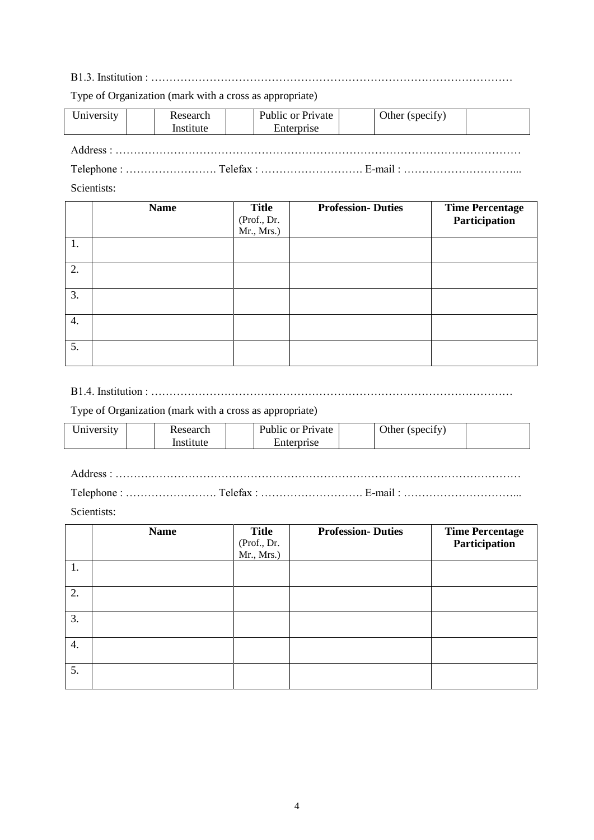B1.3. Institution : ………………………………………………………………………………………

Type of Organization (mark with a cross as appropriate)

| University      |  | Research<br>Institute |     | Public or Private<br>Enterprise |  | Other (specify) |  |
|-----------------|--|-----------------------|-----|---------------------------------|--|-----------------|--|
| Address $\cdot$ |  |                       |     |                                 |  |                 |  |
| ___             |  |                       | ___ |                                 |  | .               |  |

Telephone : ……………………. Telefax : ………………………. E-mail : …………………………...

Scientists:

|    | <b>Name</b> | <b>Title</b><br>(Prof., Dr.<br>Mr., Mrs.) | <b>Profession-Duties</b> | <b>Time Percentage</b><br>Participation |
|----|-------------|-------------------------------------------|--------------------------|-----------------------------------------|
| 1. |             |                                           |                          |                                         |
| 2. |             |                                           |                          |                                         |
| 3. |             |                                           |                          |                                         |
| 4. |             |                                           |                          |                                         |
| 5. |             |                                           |                          |                                         |

B1.4. Institution : ………………………………………………………………………………………

Type of Organization (mark with a cross as appropriate)

| Jniversity | Research |           | Public or Private |            | Other (specify) |  |  |
|------------|----------|-----------|-------------------|------------|-----------------|--|--|
|            |          | Institute |                   | Enterprise |                 |  |  |

Address : …………………………………………………………………………………………………

Telephone : ……………………. Telefax : ………………………. E-mail : …………………………...

Scientists:

|    | <b>Name</b> | <b>Title</b><br>(Prof., Dr.<br>Mr., Mrs.) | <b>Profession-Duties</b> | <b>Time Percentage</b><br>Participation |
|----|-------------|-------------------------------------------|--------------------------|-----------------------------------------|
| 1. |             |                                           |                          |                                         |
| 2. |             |                                           |                          |                                         |
| 3. |             |                                           |                          |                                         |
| 4. |             |                                           |                          |                                         |
| 5. |             |                                           |                          |                                         |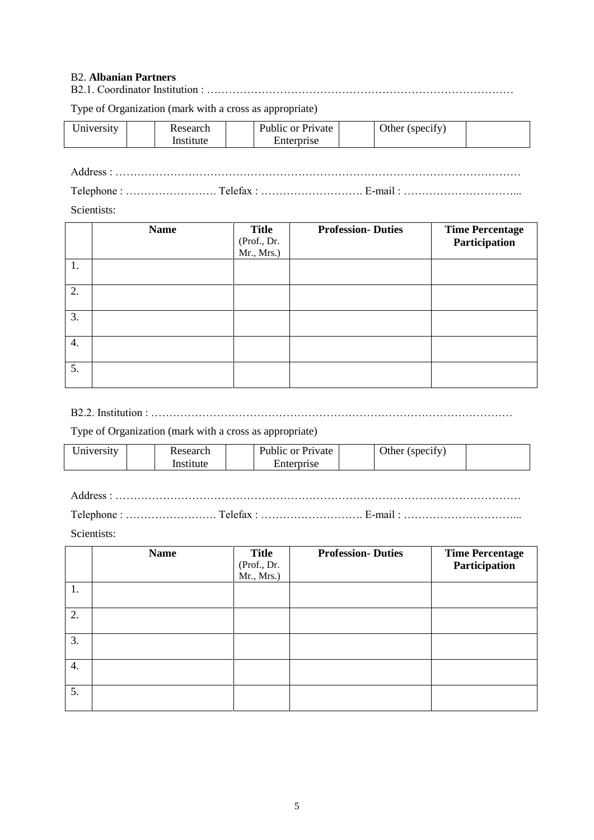#### B2. **Albanian Partners**

B2.1. Coordinator Institution : …………………………………………………………………………

Type of Organization (mark with a cross as appropriate)

| Iniversity | 00000 | Public or<br>Private | (Spec1IV)<br>Other |  |
|------------|-------|----------------------|--------------------|--|
|            |       | rıse                 |                    |  |

Address : ………………………………………………………………………………………………… Telephone : ……………………. Telefax : ………………………. E-mail : …………………………...

Scientists:

|    | <b>Name</b> | <b>Title</b><br>(Prof., Dr.<br>Mr., Mrs.) | <b>Profession-Duties</b> | <b>Time Percentage</b><br>Participation |
|----|-------------|-------------------------------------------|--------------------------|-----------------------------------------|
| 1. |             |                                           |                          |                                         |
| 2. |             |                                           |                          |                                         |
| 3. |             |                                           |                          |                                         |
| 4. |             |                                           |                          |                                         |
| 5. |             |                                           |                          |                                         |

B2.2. Institution : ………………………………………………………………………………………

Type of Organization (mark with a cross as appropriate)

| University | Research  | Public or Private |  | Other (specify) |  |
|------------|-----------|-------------------|--|-----------------|--|
|            | Institute | Enterprise        |  |                 |  |

Address : …………………………………………………………………………………………………

Telephone : ……………………. Telefax : ………………………. E-mail : …………………………...

Scientists:

|    | <b>Name</b> | <b>Title</b><br>(Prof., Dr.<br>Mr., Mrs.) | <b>Profession-Duties</b> | <b>Time Percentage</b><br>Participation |
|----|-------------|-------------------------------------------|--------------------------|-----------------------------------------|
| 1. |             |                                           |                          |                                         |
| 2. |             |                                           |                          |                                         |
| 3. |             |                                           |                          |                                         |
| 4. |             |                                           |                          |                                         |
| 5. |             |                                           |                          |                                         |

5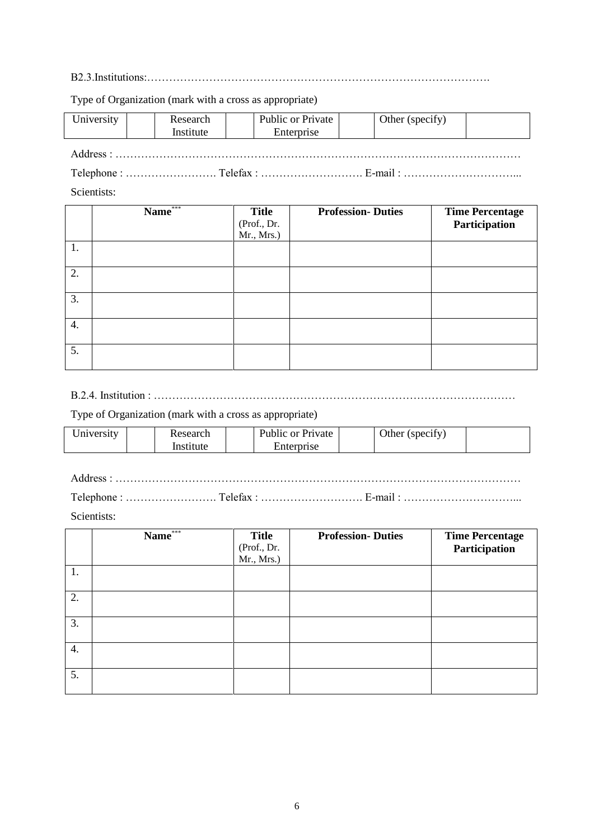B2.3.Institutions:………………………………………………………………………………….

Type of Organization (mark with a cross as appropriate)

| University |  | Research<br>Institute |  | Public or Private<br>Enterprise |  | Other (specify) |  |
|------------|--|-----------------------|--|---------------------------------|--|-----------------|--|
|            |  |                       |  |                                 |  |                 |  |
|            |  |                       |  |                                 |  |                 |  |

Scientists:

|    | $Name^{\ast\ast\ast}$ | <b>Title</b><br>(Prof., Dr.<br>Mr., Mrs.) | <b>Profession-Duties</b> | <b>Time Percentage</b><br>Participation |
|----|-----------------------|-------------------------------------------|--------------------------|-----------------------------------------|
| 1. |                       |                                           |                          |                                         |
| 2. |                       |                                           |                          |                                         |
| 3. |                       |                                           |                          |                                         |
| 4. |                       |                                           |                          |                                         |
| 5. |                       |                                           |                          |                                         |

B.2.4. Institution : ………………………………………………………………………………………

Type of Organization (mark with a cross as appropriate)

| $\cup$ niversity | Research  | $\sim$<br>Public or Private |  | $\cdot$ $\sim$<br>Other (specify) |  |
|------------------|-----------|-----------------------------|--|-----------------------------------|--|
|                  | .nstitute | Enterprise                  |  |                                   |  |

Address : …………………………………………………………………………………………………

Telephone : ……………………. Telefax : ………………………. E-mail : …………………………...

Scientists:

|    | Name*** | <b>Title</b><br>(Prof., Dr.<br>Mr., Mrs.) | <b>Profession-Duties</b> | <b>Time Percentage</b><br>Participation |
|----|---------|-------------------------------------------|--------------------------|-----------------------------------------|
| 1. |         |                                           |                          |                                         |
| 2. |         |                                           |                          |                                         |
| 3. |         |                                           |                          |                                         |
| 4. |         |                                           |                          |                                         |
| 5. |         |                                           |                          |                                         |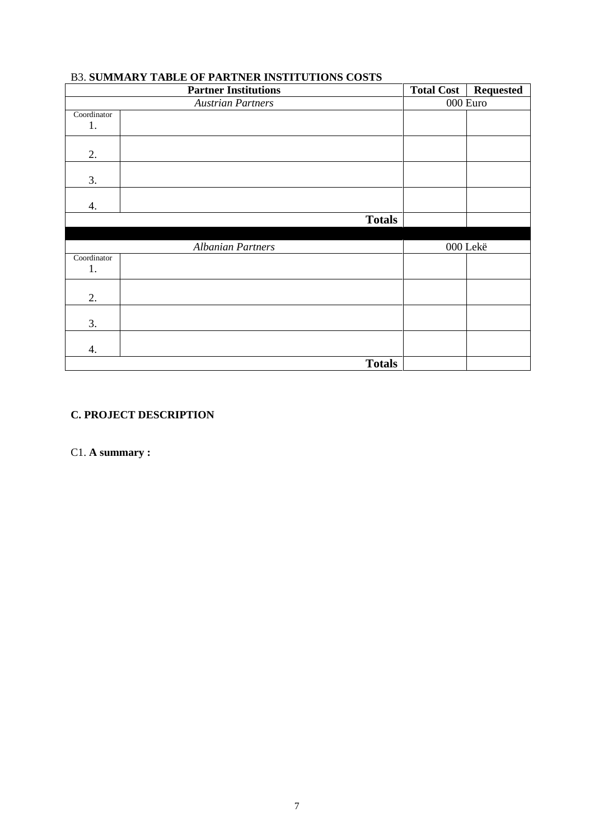|             | <b>Partner Institutions</b> | <b>Total Cost</b> | <b>Requested</b> |
|-------------|-----------------------------|-------------------|------------------|
|             | <b>Austrian Partners</b>    | 000 Euro          |                  |
| Coordinator |                             |                   |                  |
| 1.          |                             |                   |                  |
|             |                             |                   |                  |
| 2.          |                             |                   |                  |
|             |                             |                   |                  |
| 3.          |                             |                   |                  |
|             |                             |                   |                  |
| 4.          |                             |                   |                  |
|             | <b>Totals</b>               |                   |                  |
|             |                             |                   |                  |
|             | <b>Albanian Partners</b>    | 000 Lekë          |                  |
| Coordinator |                             |                   |                  |
| 1.          |                             |                   |                  |
|             |                             |                   |                  |
| 2.          |                             |                   |                  |
|             |                             |                   |                  |
| 3.          |                             |                   |                  |
|             |                             |                   |                  |
| 4.          |                             |                   |                  |
|             | <b>Totals</b>               |                   |                  |

### B3. **SUMMARY TABLE OF PARTNER INSTITUTIONS COSTS**

# **C. PROJECT DESCRIPTION**

C1. **A summary :**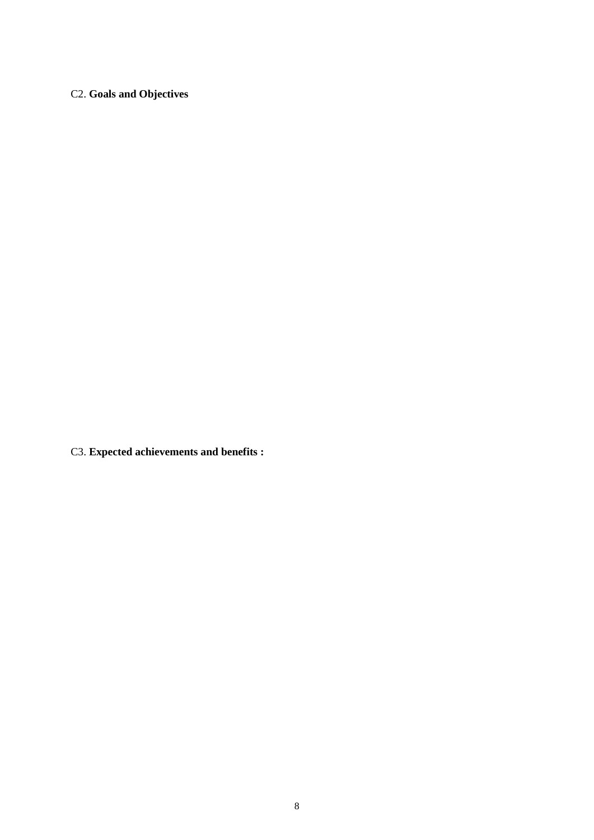# C2. **Goals and Objectives**

C3. **Expected achievements and benefits :**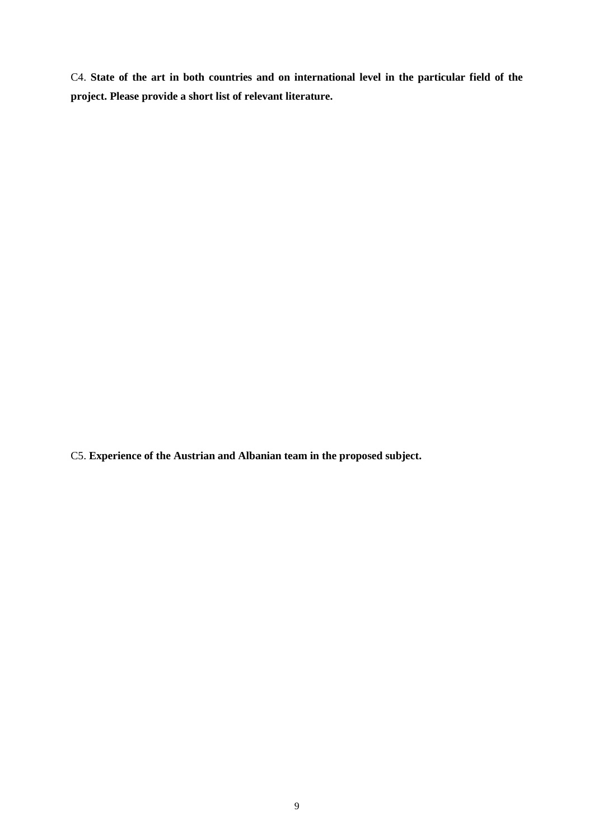C4. **State of the art in both countries and on international level in the particular field of the project. Please provide a short list of relevant literature.**

C5. **Experience of the Austrian and Albanian team in the proposed subject.**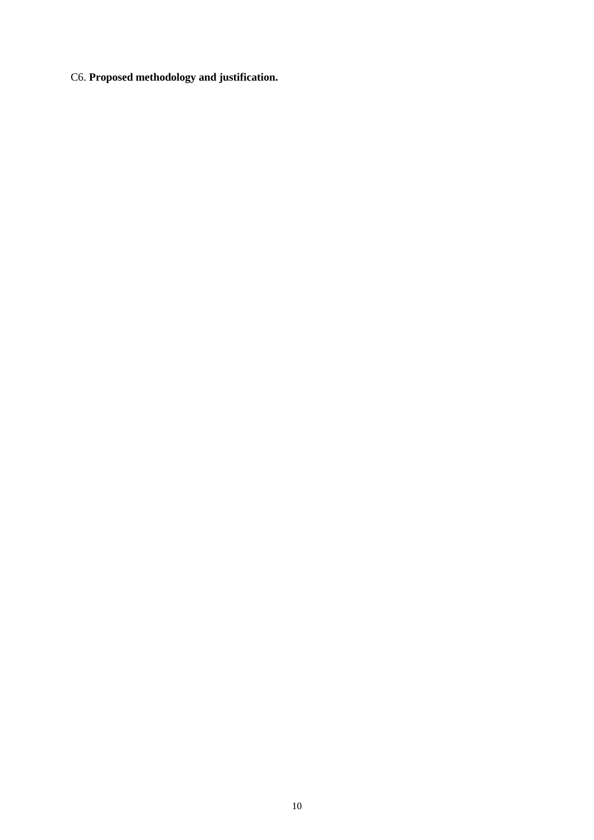C6. **Proposed methodology and justification.**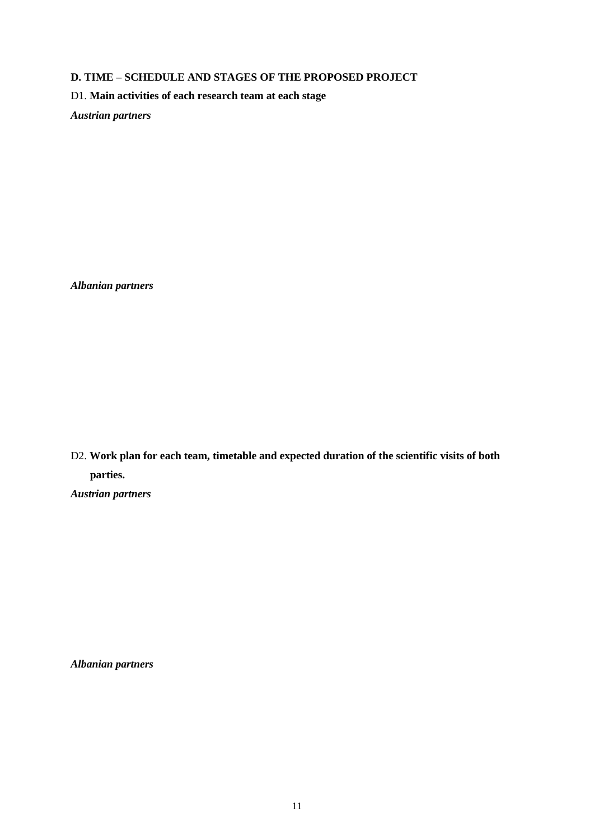#### **D. TIME – SCHEDULE AND STAGES OF THE PROPOSED PROJECT**

D1. **Main activities of each research team at each stage** 

*Austrian partners*

*Albanian partners*

D2. **Work plan for each team, timetable and expected duration of the scientific visits of both parties.** *Austrian partners*

*Albanian partners*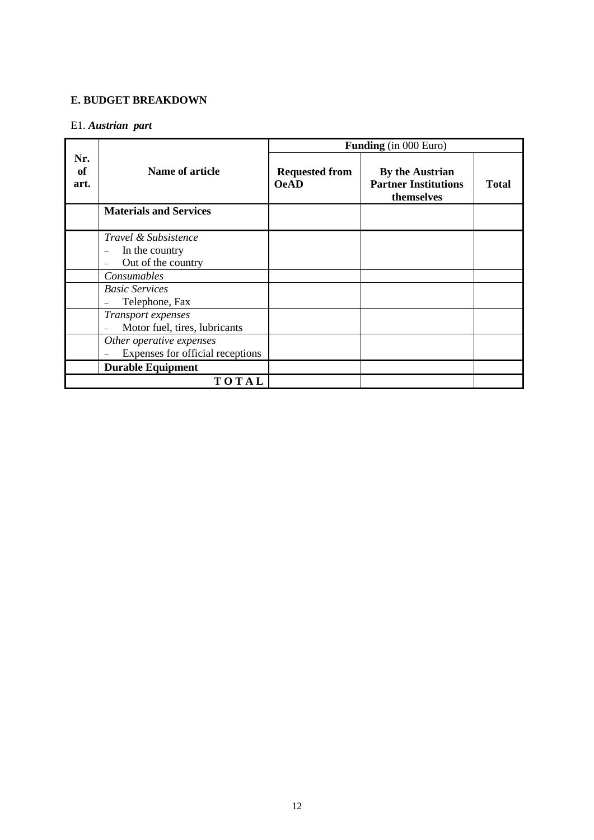#### **E. BUDGET BREAKDOWN**

### E1. *Austrian part*

|                   |                                                              |                                      | <b>Funding</b> (in 000 Euro)                                        |              |
|-------------------|--------------------------------------------------------------|--------------------------------------|---------------------------------------------------------------------|--------------|
| Nr.<br>of<br>art. | Name of article                                              | <b>Requested from</b><br><b>OeAD</b> | <b>By the Austrian</b><br><b>Partner Institutions</b><br>themselves | <b>Total</b> |
|                   | <b>Materials and Services</b>                                |                                      |                                                                     |              |
|                   | Travel & Subsistence<br>In the country<br>Out of the country |                                      |                                                                     |              |
|                   | Consumables                                                  |                                      |                                                                     |              |
|                   | <b>Basic Services</b><br>Telephone, Fax                      |                                      |                                                                     |              |
|                   | Transport expenses<br>Motor fuel, tires, lubricants          |                                      |                                                                     |              |
|                   | Other operative expenses<br>Expenses for official receptions |                                      |                                                                     |              |
|                   | <b>Durable Equipment</b>                                     |                                      |                                                                     |              |
|                   | TOTAL                                                        |                                      |                                                                     |              |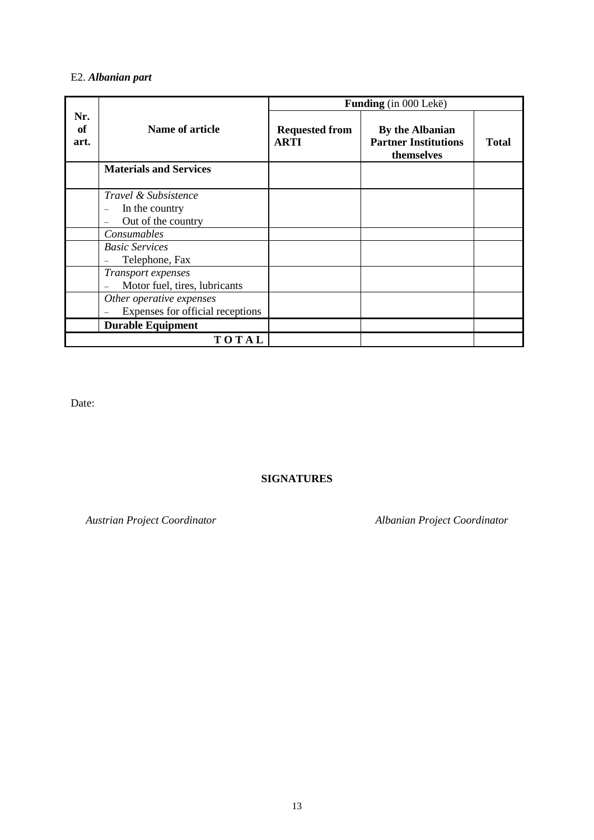# E2. *Albanian part*

|                   |                                                                         |                                      | Funding (in 000 Lekë)                                        |              |
|-------------------|-------------------------------------------------------------------------|--------------------------------------|--------------------------------------------------------------|--------------|
| Nr.<br>of<br>art. | Name of article                                                         | <b>Requested from</b><br><b>ARTI</b> | By the Albanian<br><b>Partner Institutions</b><br>themselves | <b>Total</b> |
|                   | <b>Materials and Services</b>                                           |                                      |                                                              |              |
|                   | <i>Travel &amp; Subsistence</i><br>In the country<br>Out of the country |                                      |                                                              |              |
|                   | Consumables                                                             |                                      |                                                              |              |
|                   | <b>Basic Services</b><br>Telephone, Fax                                 |                                      |                                                              |              |
|                   | Transport expenses<br>Motor fuel, tires, lubricants                     |                                      |                                                              |              |
|                   | Other operative expenses<br>Expenses for official receptions            |                                      |                                                              |              |
|                   | <b>Durable Equipment</b>                                                |                                      |                                                              |              |
|                   | TOTAL                                                                   |                                      |                                                              |              |

Date:

### **SIGNATURES**

*Austrian Project Coordinator Albanian Project Coordinator*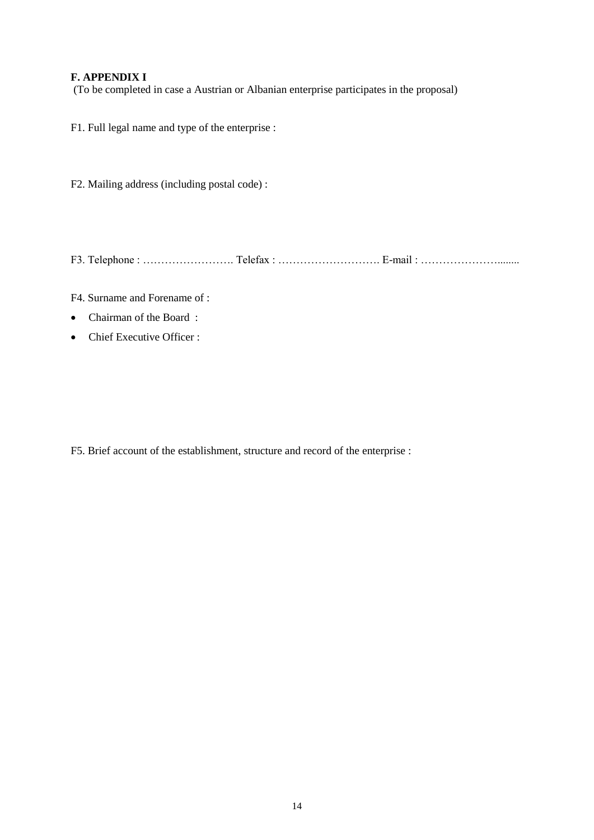### **F. APPENDIX I**

(To be completed in case a Austrian or Albanian enterprise participates in the proposal)

F1. Full legal name and type of the enterprise :

F2. Mailing address (including postal code) :

F3. Telephone : ……………………. Telefax : ………………………. E-mail : …………………........

F4. Surname and Forename of :

- Chairman of the Board:
- Chief Executive Officer :

F5. Brief account of the establishment, structure and record of the enterprise :